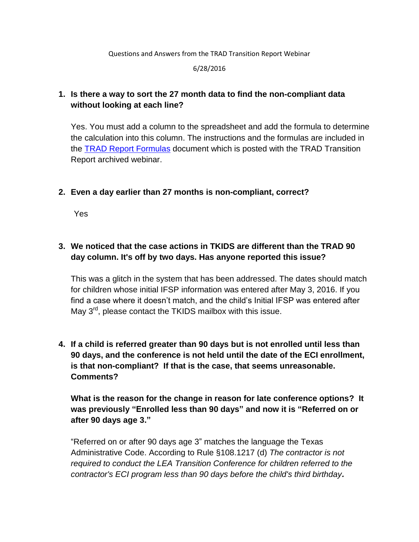Questions and Answers from the TRAD Transition Report Webinar

6/28/2016

## **1. Is there a way to sort the 27 month data to find the non-compliant data without looking at each line?**

Yes. You must add a column to the spreadsheet and add the formula to determine the calculation into this column. The instructions and the formulas are included in the [TRAD Report Formulas](http://reg.abcsignup.com/files/%7B07D0901F-86B6-4CD0-B7A2-908BF5F49EB0%7D_59/updated_formulas.pdf) document which is posted with the TRAD Transition Report archived webinar.

**2. Even a day earlier than 27 months is non-compliant, correct?**

Yes

# **3. We noticed that the case actions in TKIDS are different than the TRAD 90 day column. It's off by two days. Has anyone reported this issue?**

This was a glitch in the system that has been addressed. The dates should match for children whose initial IFSP information was entered after May 3, 2016. If you find a case where it doesn't match, and the child's Initial IFSP was entered after May  $3<sup>rd</sup>$ , please contact the TKIDS mailbox with this issue.

**4. If a child is referred greater than 90 days but is not enrolled until less than 90 days, and the conference is not held until the date of the ECI enrollment, is that non-compliant? If that is the case, that seems unreasonable. Comments?**

**What is the reason for the change in reason for late conference options? It was previously "Enrolled less than 90 days" and now it is "Referred on or after 90 days age 3."**

"Referred on or after 90 days age 3" matches the language the Texas Administrative Code. According to Rule §108.1217 (d) *The contractor is not required to conduct the LEA Transition Conference for children referred to the contractor's ECI program less than 90 days before the child's third birthday.*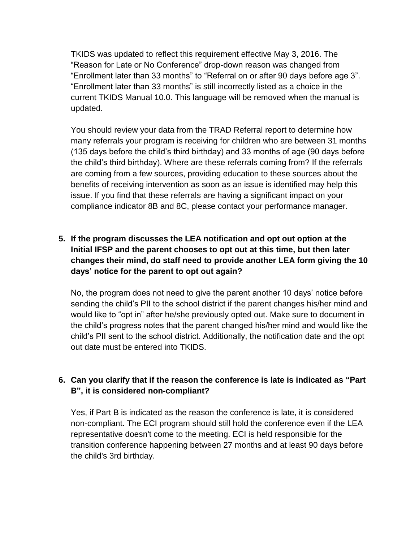TKIDS was updated to reflect this requirement effective May 3, 2016. The "Reason for Late or No Conference" drop-down reason was changed from "Enrollment later than 33 months" to "Referral on or after 90 days before age 3". "Enrollment later than 33 months" is still incorrectly listed as a choice in the current TKIDS Manual 10.0. This language will be removed when the manual is updated.

You should review your data from the TRAD Referral report to determine how many referrals your program is receiving for children who are between 31 months (135 days before the child's third birthday) and 33 months of age (90 days before the child's third birthday). Where are these referrals coming from? If the referrals are coming from a few sources, providing education to these sources about the benefits of receiving intervention as soon as an issue is identified may help this issue. If you find that these referrals are having a significant impact on your compliance indicator 8B and 8C, please contact your performance manager.

## **5. If the program discusses the LEA notification and opt out option at the Initial IFSP and the parent chooses to opt out at this time, but then later changes their mind, do staff need to provide another LEA form giving the 10 days' notice for the parent to opt out again?**

No, the program does not need to give the parent another 10 days' notice before sending the child's PII to the school district if the parent changes his/her mind and would like to "opt in" after he/she previously opted out. Make sure to document in the child's progress notes that the parent changed his/her mind and would like the child's PII sent to the school district. Additionally, the notification date and the opt out date must be entered into TKIDS.

### **6. Can you clarify that if the reason the conference is late is indicated as "Part B", it is considered non-compliant?**

Yes, if Part B is indicated as the reason the conference is late, it is considered non-compliant. The ECI program should still hold the conference even if the LEA representative doesn't come to the meeting. ECI is held responsible for the transition conference happening between 27 months and at least 90 days before the child's 3rd birthday.